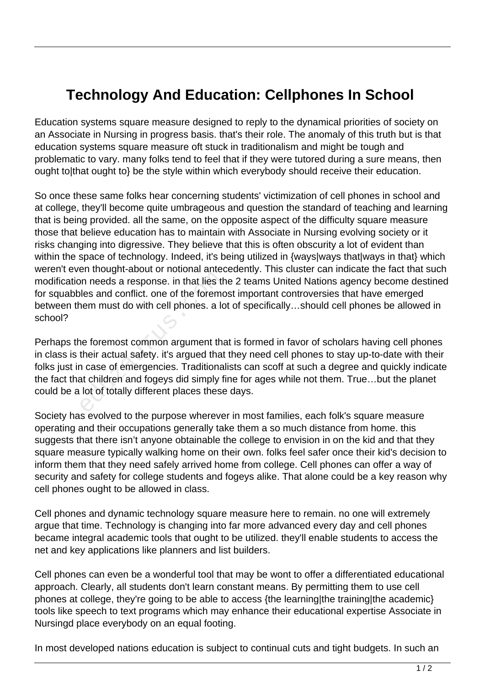## **Technology And Education: Cellphones In School**

Education systems square measure designed to reply to the dynamical priorities of society on an Associate in Nursing in progress basis. that's their role. The anomaly of this truth but is that education systems square measure oft stuck in traditionalism and might be tough and problematic to vary. many folks tend to feel that if they were tutored during a sure means, then ought to|that ought to} be the style within which everybody should receive their education.

So once these same folks hear concerning students' victimization of cell phones in school and at college, they'll become quite umbrageous and question the standard of teaching and learning that is being provided. all the same, on the opposite aspect of the difficulty square measure those that believe education has to maintain with Associate in Nursing evolving society or it risks changing into digressive. They believe that this is often obscurity a lot of evident than within the space of technology. Indeed, it's being utilized in {ways|ways that|ways in that} which weren't even thought-about or notional antecedently. This cluster can indicate the fact that such modification needs a response. in that lies the 2 teams United Nations agency become destined for squabbles and conflict. one of the foremost important controversies that have emerged between them must do with cell phones. a lot of specifically…should cell phones be allowed in school?

Perhaps the foremost common argument that is formed in favor of scholars having cell phones in class is their actual safety. it's argued that they need cell phones to stay up-to-date with their folks just in case of emergencies. Traditionalists can scoff at such a degree and quickly indicate the fact that children and fogeys did simply fine for ages while not them. True…but the planet could be a lot of totally different places these days. Franciscom in the Euclidean<br>In needs a response. in that lies the<br>Ies and conflict. one of the foremorem<br>must do with cell phones. a lo<br>the foremost common argument that<br>their actual safety. it's argued that<br>at children an

Society has evolved to the purpose wherever in most families, each folk's square measure operating and their occupations generally take them a so much distance from home. this suggests that there isn't anyone obtainable the college to envision in on the kid and that they square measure typically walking home on their own. folks feel safer once their kid's decision to inform them that they need safely arrived home from college. Cell phones can offer a way of security and safety for college students and fogeys alike. That alone could be a key reason why cell phones ought to be allowed in class.

Cell phones and dynamic technology square measure here to remain. no one will extremely argue that time. Technology is changing into far more advanced every day and cell phones became integral academic tools that ought to be utilized. they'll enable students to access the net and key applications like planners and list builders.

Cell phones can even be a wonderful tool that may be wont to offer a differentiated educational approach. Clearly, all students don't learn constant means. By permitting them to use cell phones at college, they're going to be able to access {the learning|the training|the academic} tools like speech to text programs which may enhance their educational expertise Associate in Nursingd place everybody on an equal footing.

In most developed nations education is subject to continual cuts and tight budgets. In such an